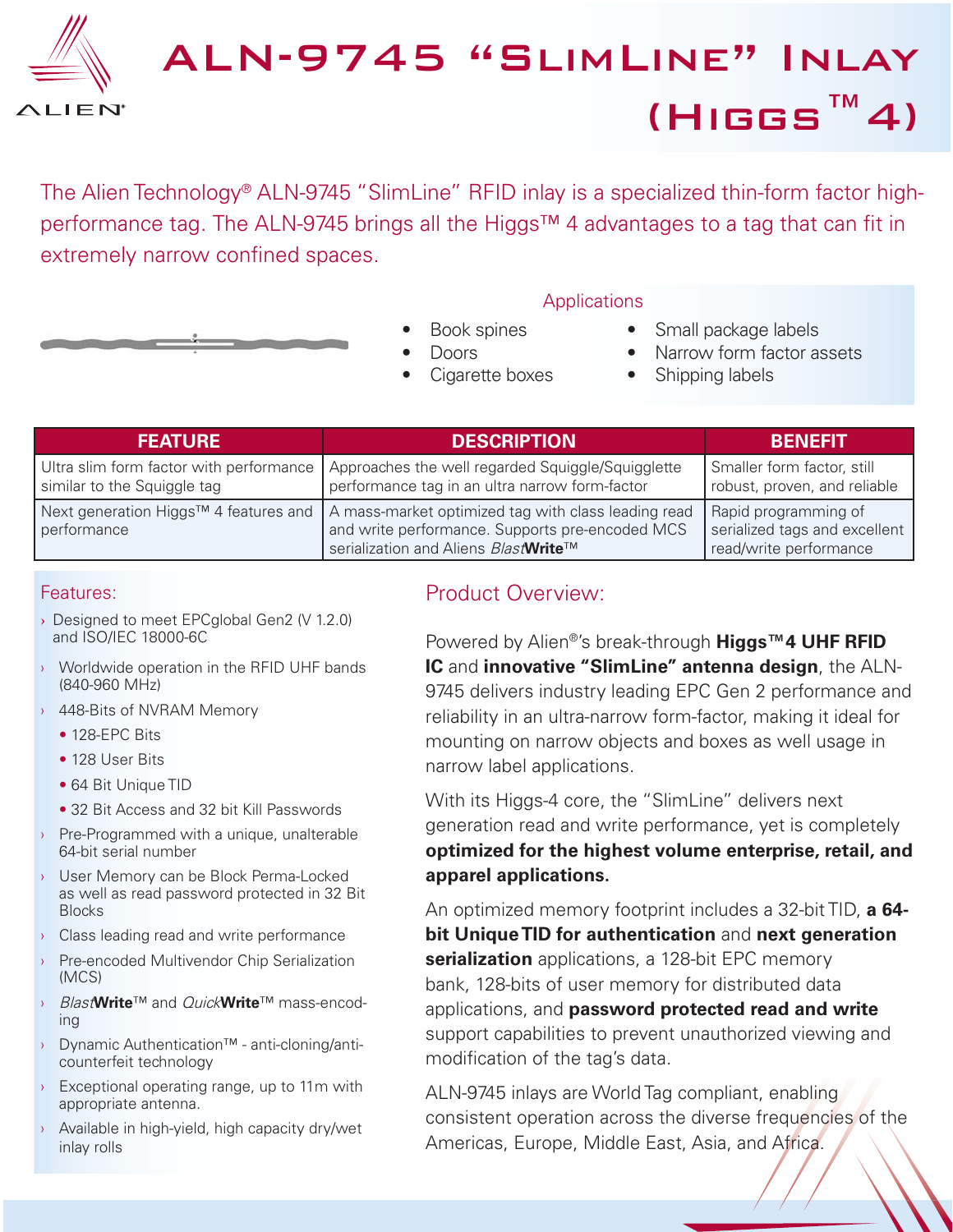

# ALN-9745 "SlimLine" Inlay (Higgs™4)

The Alien Technology<sup>®</sup> ALN-9745 "SlimLine" RFID inlay is a specialized thin-form factor highperformance tag. The ALN-9745 brings all the Higgs™ 4 advantages to a tag that can fit in extremely narrow confined spaces.



- **Applications**
- Book spines
- Doors
- Cigarette boxes

#### Small package labels

- Narrow form factor assets
- Shipping labels

| <b>FEATURE</b>              | <b>DESCRIPTION</b>                                                                                                                                                                           | <b>BENEFIT</b>                                                                  |
|-----------------------------|----------------------------------------------------------------------------------------------------------------------------------------------------------------------------------------------|---------------------------------------------------------------------------------|
| similar to the Squiggle tag | Ultra slim form factor with performance   Approaches the well regarded Squiggle/Squigglette<br>performance tag in an ultra narrow form-factor                                                | Smaller form factor, still<br>robust, proven, and reliable                      |
| performance                 | Next generation Higgs™ 4 features and $\vert$ A mass-market optimized tag with class leading read<br>and write performance. Supports pre-encoded MCS<br>serialization and Aliens BlastMrite™ | Rapid programming of<br>serialized tags and excellent<br>read/write performance |

#### Features:

- › Designed to meet EPCglobal Gen2 (V 1.2.0) and ISO/IEC 18000-6C
- **Worldwide operation in the RFID UHF bands** (840-960 MHz)
- 448-Bits of NVRAM Memory
	- 128-EPC Bits
	- 128 User Bits
	- 64 Bit Unique TID
	- 32 Bit Access and 32 bit Kill Passwords
- **Pre-Programmed with a unique, unalterable** 64-bit serial number
- › User Memory can be Block Perma-Locked as well as read password protected in 32 Bit **Blocks**
- › Class leading read and write performance
- › Pre-encoded Multivendor Chip Serialization (MCS)
- › Blast**Write**™ and Quick**Write**™ mass-encoding
- › Dynamic Authentication™ anti-cloning/anticounterfeit technology
- **Exceptional operating range, up to 11m with** appropriate antenna.
- › Available in high-yield, high capacity dry/wet inlay rolls

## Product Overview:

Powered by Alien®'s break-through **Higgs™4 UHF RFID IC** and **innovative "SlimLine" antenna design**, the ALN-9745 delivers industry leading EPC Gen 2 performance and reliability in an ultra-narrow form-factor, making it ideal for mounting on narrow objects and boxes as well usage in narrow label applications.

With its Higgs-4 core, the "SlimLine" delivers next generation read and write performance, yet is completely **optimized for the highest volume enterprise, retail, and apparel applications.**

An optimized memory footprint includes a 32-bit TID, **a 64 bit Unique TID for authentication** and **next generation serialization** applications, a 128-bit EPC memory bank, 128-bits of user memory for distributed data applications, and **password protected read and write** support capabilities to prevent unauthorized viewing and modification of the tag's data.

ALN-9745 inlays are World Tag compliant, enabling consistent operation across the diverse frequencies of the Americas, Europe, Middle East, Asia, and Africa.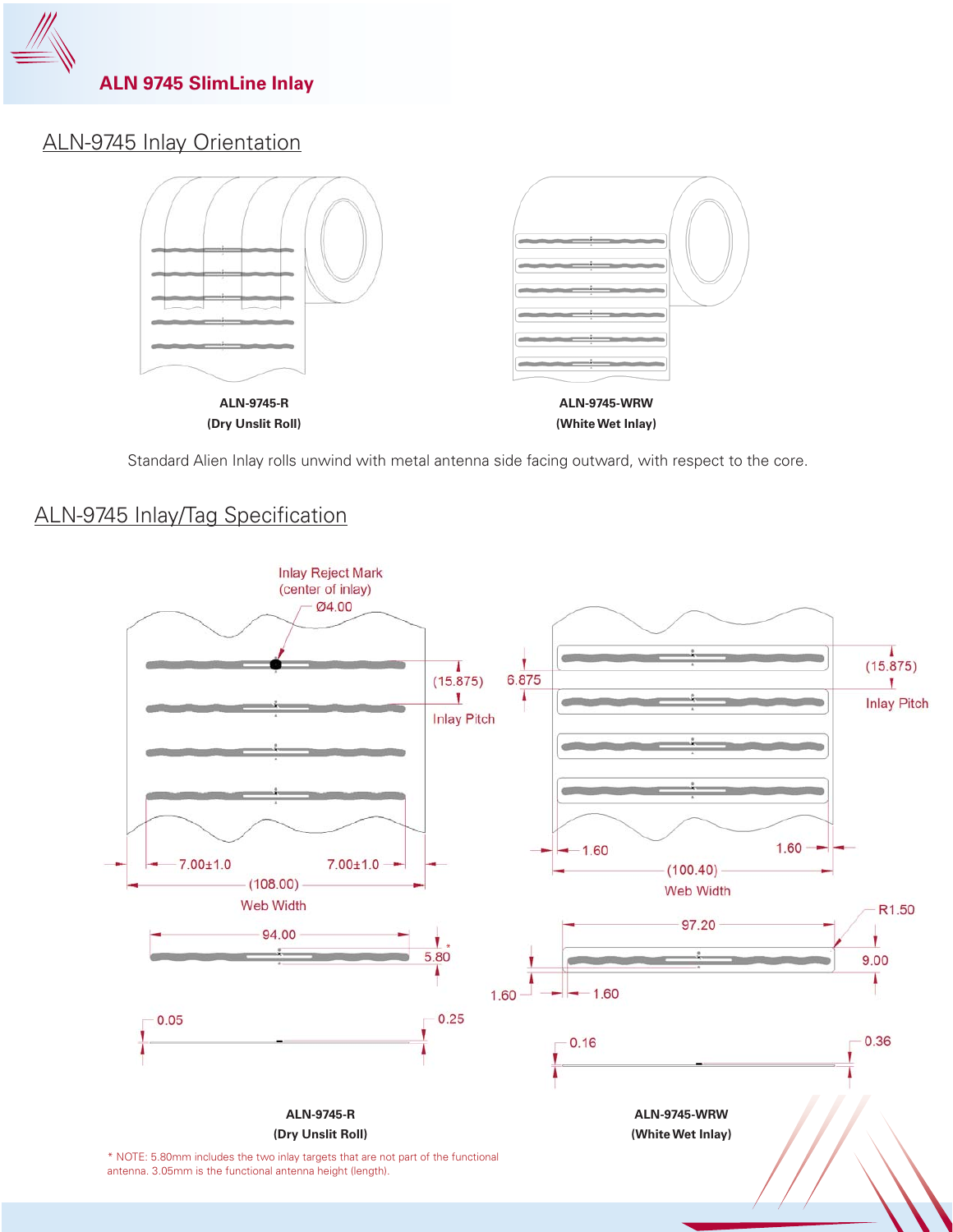

# ALN-9745 Inlay Orientation



Standard Alien Inlay rolls unwind with metal antenna side facing outward, with respect to the core.

## ALN-9745 Inlay/Tag Specification

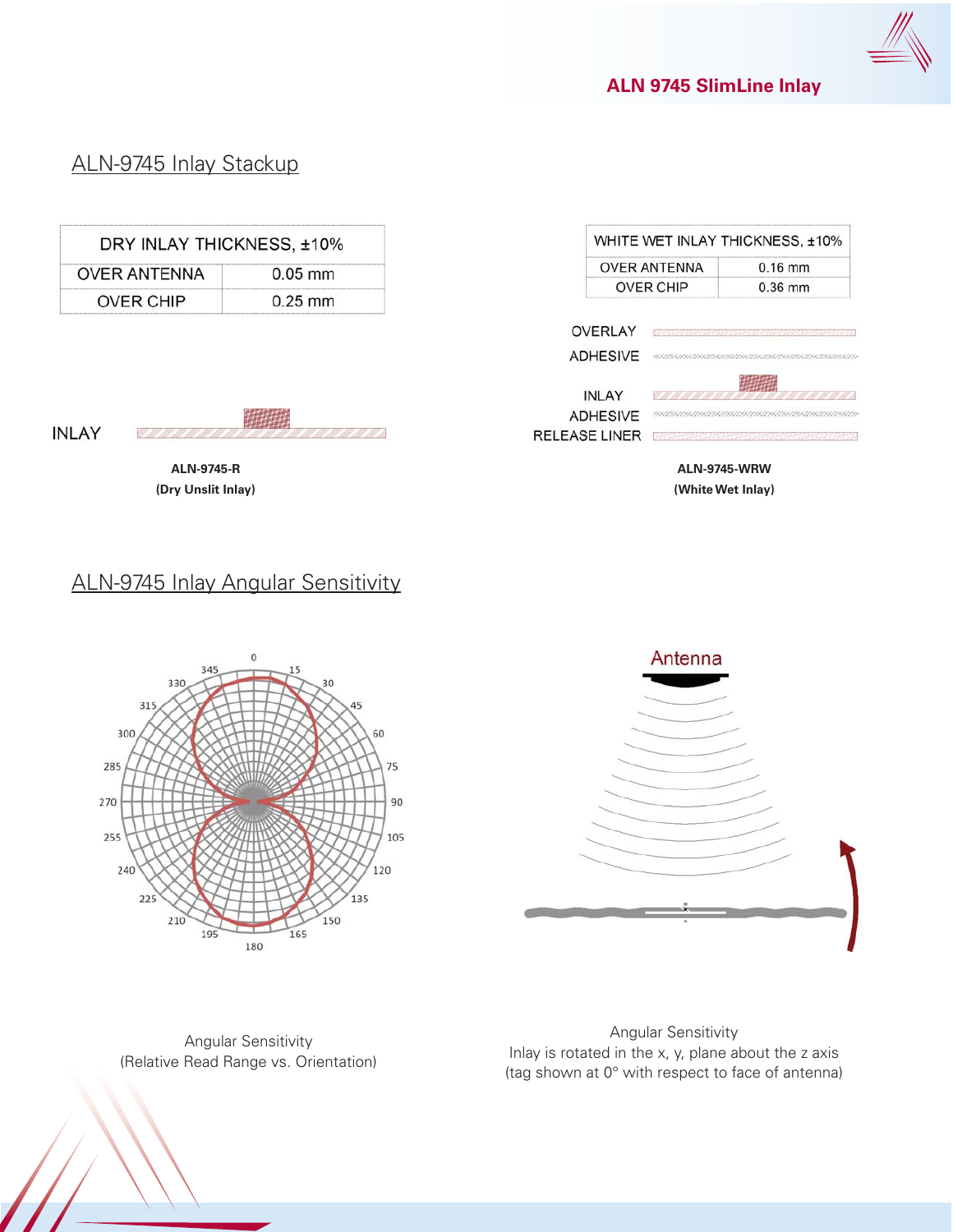

#### **ALN 9745 SlimLine Inlay**

# ALN-9745 Inlay Stackup

| DRY INLAY THICKNESS, ±10% |           |
|---------------------------|-----------|
| <b>OVER ANTENNA</b>       | $0.05$ mm |
| <b>OVER CHIP</b>          | $0.25$ mm |

**INLAY** 

**ALN-9745-R (Dry Unslit Inlay)**

# ALN-9745 Inlay Angular Sensitivity



Angular Sensitivity (Relative Read Range vs. Orientation)

Angular Sensitivity Inlay is rotated in the x, y, plane about the z axis (tag shown at 0° with respect to face of antenna)

 $\equiv$ 

| x | Antenna |  |
|---|---------|--|

| <b>OVER ANTENNA</b> | $0.16$ mm |
|---------------------|-----------|
| <b>OVER CHIP</b>    | $0.36$ mm |

| <b>ADHESIVE</b>                                         |                   |
|---------------------------------------------------------|-------------------|
| <b>INLAY</b><br><b>ADHESIVE</b><br><b>RELEASE LINER</b> | 7 8 7 8 7 8 7 8 7 |

**ALN-9745-WRW (White Wet Inlay)**